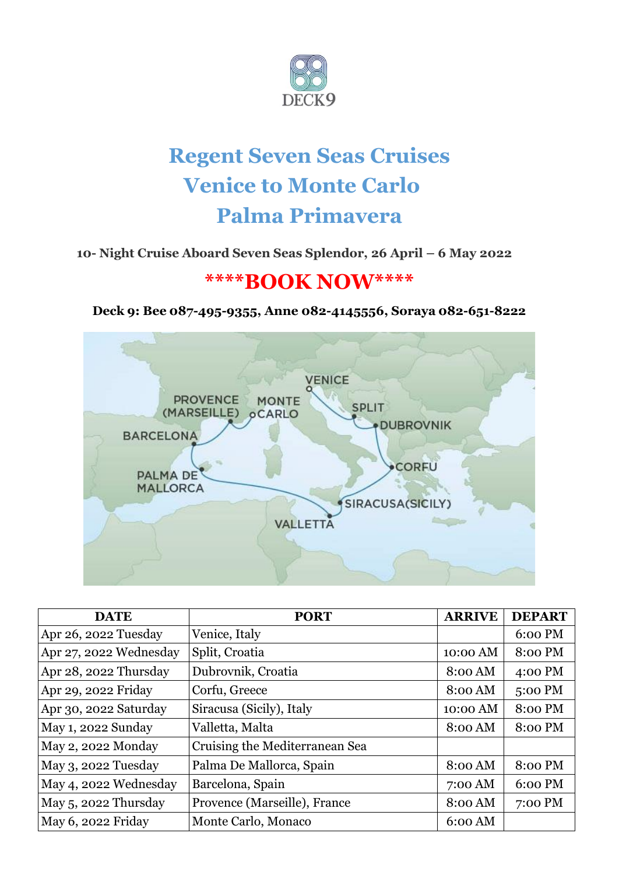

# **Regent Seven Seas Cruises Venice to Monte Carlo Palma Primavera**

# **10- Night Cruise Aboard Seven Seas Splendor, 26 April – 6 May 2022**

# **\*\*\*\*BOOK NOW\*\*\*\***

# **Deck 9: Bee 087-495-9355, Anne 082-4145556, Soraya 082-651-8222**



| <b>DATE</b>            | <b>PORT</b>                    | <b>ARRIVE</b> | <b>DEPART</b> |
|------------------------|--------------------------------|---------------|---------------|
| Apr 26, 2022 Tuesday   | Venice, Italy                  |               | 6:00 PM       |
| Apr 27, 2022 Wednesday | Split, Croatia                 | 10:00 AM      | 8:00 PM       |
| Apr 28, 2022 Thursday  | Dubrovnik, Croatia             | 8:00 AM       | 4:00 PM       |
| Apr 29, 2022 Friday    | Corfu, Greece                  | 8:00 AM       | 5:00 PM       |
| Apr 30, 2022 Saturday  | Siracusa (Sicily), Italy       | 10:00 AM      | 8:00 PM       |
| May 1, 2022 Sunday     | Valletta, Malta                | 8:00 AM       | 8:00 PM       |
| May 2, 2022 Monday     | Cruising the Mediterranean Sea |               |               |
| May 3, 2022 Tuesday    | Palma De Mallorca, Spain       | 8:00 AM       | 8:00 PM       |
| May 4, 2022 Wednesday  | Barcelona, Spain               | $7:00$ AM     | 6:00 PM       |
| May 5, 2022 Thursday   | Provence (Marseille), France   | 8:00 AM       | 7:00 PM       |
| May 6, 2022 Friday     | Monte Carlo, Monaco            | $6:00$ AM     |               |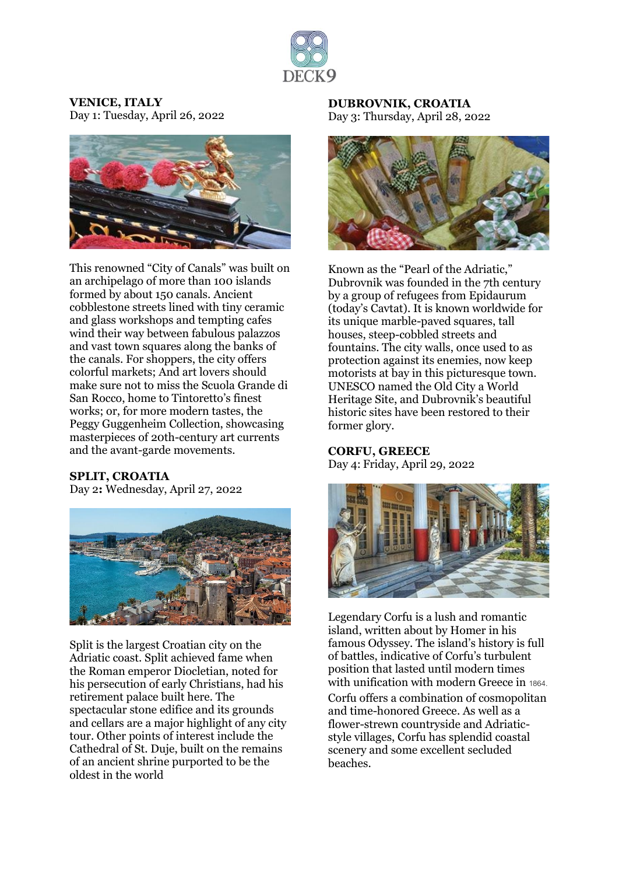

**VENICE, ITALY** Day 1: Tuesday, April 26, 2022



This renowned "City of Canals" was built on an archipelago of more than 100 islands formed by about 150 canals. Ancient cobblestone streets lined with tiny ceramic and glass workshops and tempting cafes wind their way between fabulous palazzos and vast town squares along the banks of the canals. For shoppers, the city offers colorful markets; And art lovers should make sure not to miss the Scuola Grande di San Rocco, home to Tintoretto's finest works; or, for more modern tastes, the Peggy Guggenheim Collection, showcasing masterpieces of 20th-century art currents and the avant-garde movements.

#### **SPLIT, CROATIA**

Day 2**:** Wednesday, April 27, 2022



Split is the largest Croatian city on the Adriatic coast. Split achieved fame when the Roman emperor Diocletian, noted for his persecution of early Christians, had his retirement palace built here. The spectacular stone edifice and its grounds and cellars are a major highlight of any city tour. Other points of interest include the Cathedral of St. Duje, built on the remains of an ancient shrine purported to be the oldest in the world

#### **DUBROVNIK, CROATIA** Day 3: Thursday, April 28, 2022



Known as the "Pearl of the Adriatic," Dubrovnik was founded in the 7th century by a group of refugees from Epidaurum (today's Cavtat). It is known worldwide for its unique marble-paved squares, tall houses, steep-cobbled streets and fountains. The city walls, once used to as protection against its enemies, now keep motorists at bay in this picturesque town. UNESCO named the Old City a World Heritage Site, and Dubrovnik's beautiful historic sites have been restored to their former glory.

# **CORFU, GREECE**

Day 4: Friday, April 29, 2022



Legendary Corfu is a lush and romantic island, written about by Homer in his famous Odyssey. The island's history is full of battles, indicative of Corfu's turbulent position that lasted until modern times with unification with modern Greece in 1864. Corfu offers a combination of cosmopolitan and time-honored Greece. As well as a flower-strewn countryside and Adriaticstyle villages, Corfu has splendid coastal scenery and some excellent secluded beaches.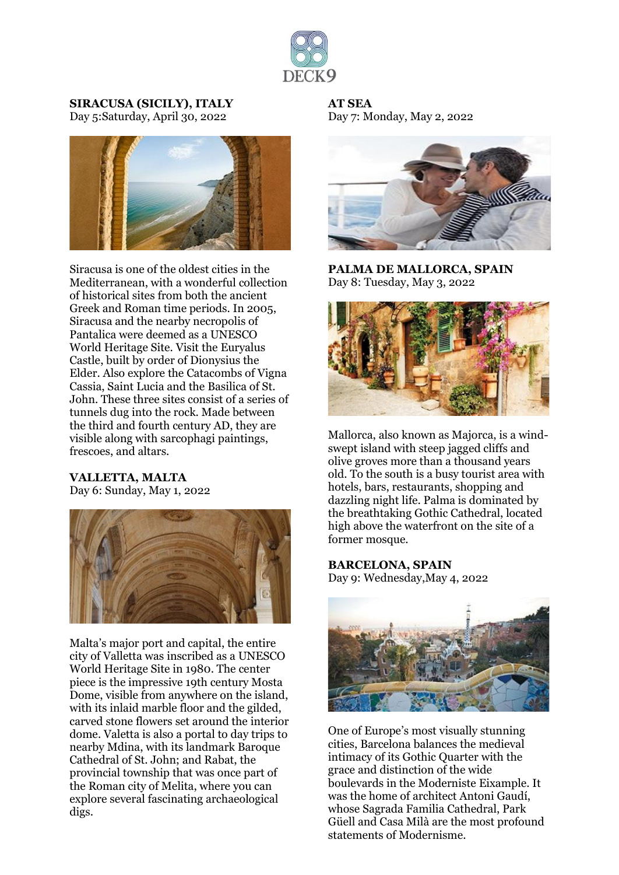

#### **SIRACUSA (SICILY), ITALY** Day 5:Saturday, April 30, 2022



Siracusa is one of the oldest cities in the Mediterranean, with a wonderful collection of historical sites from both the ancient Greek and Roman time periods. In 2005, Siracusa and the nearby necropolis of Pantalica were deemed as a UNESCO World Heritage Site. Visit the Euryalus Castle, built by order of Dionysius the Elder. Also explore the Catacombs of Vigna Cassia, Saint Lucia and the Basilica of St. John. These three sites consist of a series of tunnels dug into the rock. Made between the third and fourth century AD, they are visible along with sarcophagi paintings, frescoes, and altars.

#### **VALLETTA, MALTA**

Day 6: Sunday, May 1, 2022



Malta's major port and capital, the entire city of Valletta was inscribed as a UNESCO World Heritage Site in 1980. The center piece is the impressive 19th century Mosta Dome, visible from anywhere on the island, with its inlaid marble floor and the gilded, carved stone flowers set around the interior dome. Valetta is also a portal to day trips to nearby Mdina, with its landmark Baroque Cathedral of St. John; and Rabat, the provincial township that was once part of the Roman city of Melita, where you can explore several fascinating archaeological digs.

**AT SEA** Day 7: Monday, May 2, 2022



**PALMA DE MALLORCA, SPAIN** Day 8: Tuesday, May 3, 2022



Mallorca, also known as Majorca, is a windswept island with steep jagged cliffs and olive groves more than a thousand years old. To the south is a busy tourist area with hotels, bars, restaurants, shopping and dazzling night life. Palma is dominated by the breathtaking Gothic Cathedral, located high above the waterfront on the site of a former mosque.

### **BARCELONA, SPAIN**

Day 9: Wednesday,May 4, 2022



One of Europe's most visually stunning cities, Barcelona balances the medieval intimacy of its Gothic Quarter with the grace and distinction of the wide boulevards in the Moderniste Eixample. It was the home of architect Antoni Gaudí, whose Sagrada Familia Cathedral, Park Güell and Casa Milà are the most profound statements of Modernisme.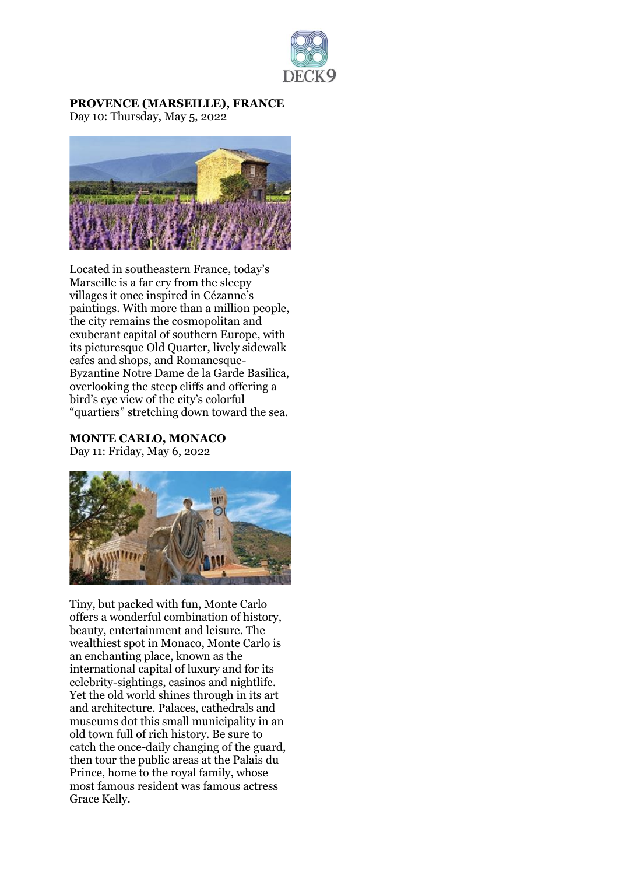

#### **PROVENCE (MARSEILLE), FRANCE** Day 10: Thursday, May 5, 2022



Located in southeastern France, today's Marseille is a far cry from the sleepy villages it once inspired in Cézanne's paintings. With more than a million people, the city remains the cosmopolitan and exuberant capital of southern Europe, with its picturesque Old Quarter, lively sidewalk cafes and shops, and Romanesque-Byzantine Notre Dame de la Garde Basilica, overlooking the steep cliffs and offering a bird's eye view of the city's colorful "quartiers" stretching down toward the sea.

**MONTE CARLO, MONACO** Day 11: Friday, May 6, 2022



Tiny, but packed with fun, Monte Carlo offers a wonderful combination of history, beauty, entertainment and leisure. The wealthiest spot in Monaco, Monte Carlo is an enchanting place, known as the international capital of luxury and for its celebrity-sightings, casinos and nightlife. Yet the old world shines through in its art and architecture. Palaces, cathedrals and museums dot this small municipality in an old town full of rich history. Be sure to catch the once-daily changing of the guard, then tour the public areas at the Palais du Prince, home to the royal family, whose most famous resident was famous actress Grace Kelly.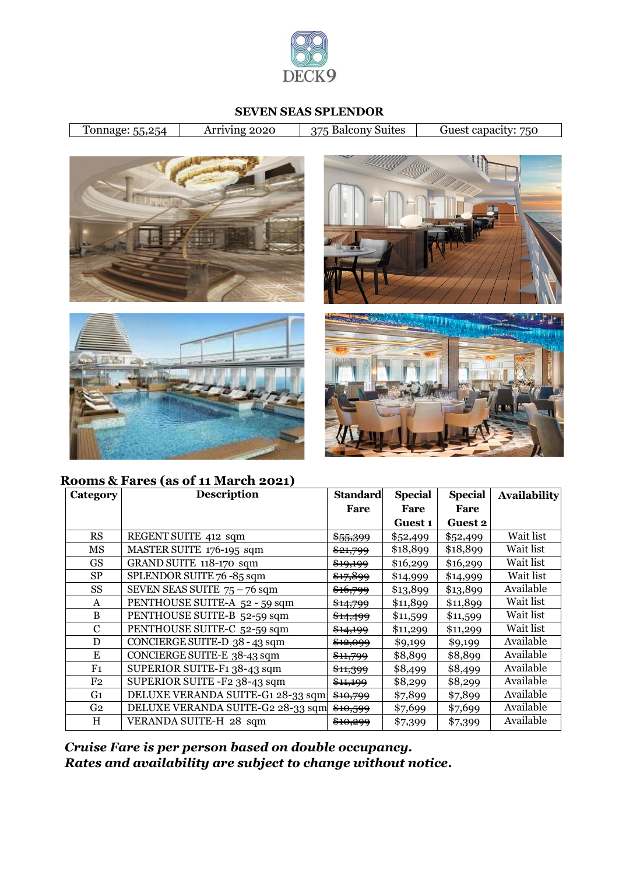

### **SEVEN SEAS SPLENDOR**

Tonnage: 55,254 Arriving 2020 375 Balcony Suites Guest capacity: 750









**Rooms & Fares (as of 11 March 2021)**

| Category       | <b>Description</b>                | <b>Standard</b>     | <b>Special</b> | <b>Special</b> | <b>Availability</b> |
|----------------|-----------------------------------|---------------------|----------------|----------------|---------------------|
|                |                                   | Fare                | Fare           | Fare           |                     |
|                |                                   |                     | Guest 1        | <b>Guest 2</b> |                     |
| RS             | REGENT SUITE 412 sqm              | <del>\$55,399</del> | \$52,499       | \$52,499       | Wait list           |
| MS             | MASTER SUITE 176-195 sqm          | <del>\$21,799</del> | \$18,899       | \$18,899       | Wait list           |
| <b>GS</b>      | GRAND SUITE 118-170 sqm           | <del>\$19,199</del> | \$16,299       | \$16,299       | Wait list           |
| <b>SP</b>      | SPLENDOR SUITE 76 -85 sqm         | \$17,899            | \$14,999       | \$14,999       | Wait list           |
| SS             | SEVEN SEAS SUITE $75 - 76$ sqm    | \$16,799            | \$13,899       | \$13,899       | Available           |
| A              | PENTHOUSE SUITE-A 52 - 59 sqm     | <del>\$14,799</del> | \$11,899       | \$11,899       | Wait list           |
| B              | PENTHOUSE SUITE-B 52-59 sqm       | <del>\$14,499</del> | \$11,599       | \$11,599       | Wait list           |
| $\mathbf C$    | PENTHOUSE SUITE-C 52-59 sqm       | <del>\$14,199</del> | \$11,299       | \$11,299       | Wait list           |
| D              | CONCIERGE SUITE-D 38 - 43 sqm     | <del>\$12,099</del> | \$9,199        | \$9,199        | Available           |
| E              | CONCIERGE SUITE-E 38-43 sqm       | \$11,799            | \$8,899        | \$8,899        | Available           |
| F <sub>1</sub> | SUPERIOR SUITE-F1 38-43 sqm       | \$11,999            | \$8,499        | \$8,499        | Available           |
| F <sub>2</sub> | SUPERIOR SUITE -F2 38-43 sqm      | <del>\$11,199</del> | \$8,299        | \$8,299        | Available           |
| G <sub>1</sub> | DELUXE VERANDA SUITE-G1 28-33 sqm | <del>\$10,799</del> | \$7,899        | \$7,899        | Available           |
| G <sub>2</sub> | DELUXE VERANDA SUITE-G2 28-33 sqm | <del>\$10,599</del> | \$7,699        | \$7,699        | Available           |
| H              | VERANDA SUITE-H 28 sqm            | <del>\$10,299</del> | \$7,399        | \$7,399        | Available           |

*Cruise Fare is per person based on double occupancy. Rates and availability are subject to change without notice.*